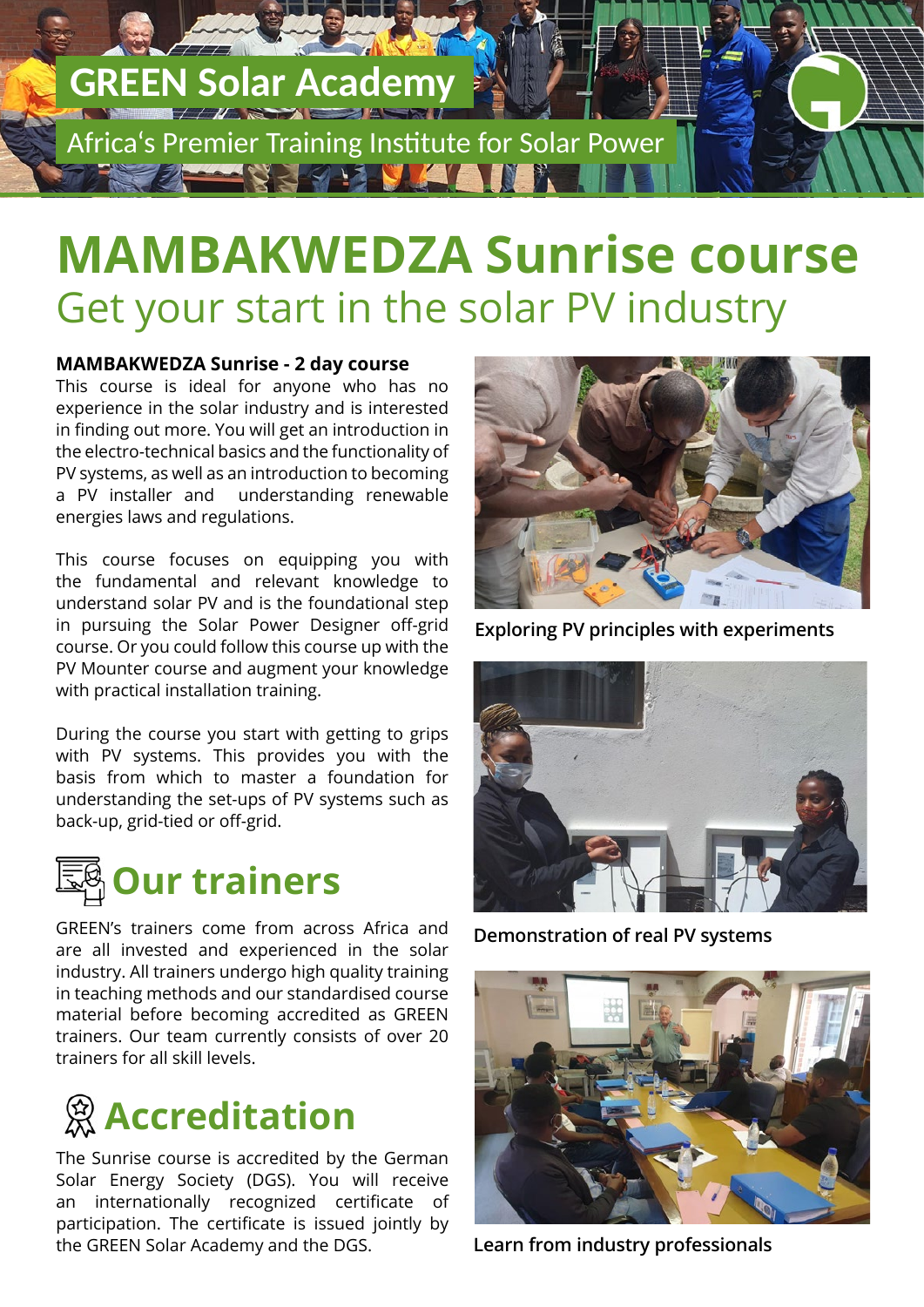# **GREEN Solar Academy**

Africa's Premier Training Institute for Solar Power

### **MAMBAKWEDZA Sunrise course** Get your start in the solar PV industry

### **MAMBAKWEDZA Sunrise - 2 day course**

This course is ideal for anyone who has no experience in the solar industry and is interested in finding out more. You will get an introduction in the electro-technical basics and the functionality of PV systems, as well as an introduction to becoming a PV installer and understanding renewable energies laws and regulations.

This course focuses on equipping you with the fundamental and relevant knowledge to understand solar PV and is the foundational step in pursuing the Solar Power Designer off-grid course. Or you could follow this course up with the PV Mounter course and augment your knowledge with practical installation training.

During the course you start with getting to grips with PV systems. This provides you with the basis from which to master a foundation for understanding the set-ups of PV systems such as back-up, grid-tied or off-grid.



GREEN's trainers come from across Africa and are all invested and experienced in the solar industry. All trainers undergo high quality training in teaching methods and our standardised course material before becoming accredited as GREEN trainers. Our team currently consists of over 20 trainers for all skill levels.



The Sunrise course is accredited by the German Solar Energy Society (DGS). You will receive an internationally recognized certificate of participation. The certificate is issued jointly by the GREEN Solar Academy and the DGS.



**Exploring PV principles with experiments**



**Demonstration of real PV systems**



**Learn from industry professionals**